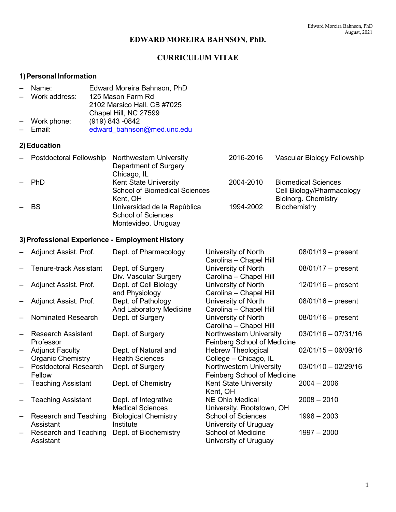## **EDWARD MOREIRA BAHNSON, PhD.**

## **CURRICULUM VITAE**

## **1)Personal Information**

- Name: Edward Moreira Bahnson, PhD
- Work address: 125 Mason Farm Rd
- 2102 Marsico Hall. CB #7025
- Chapel Hill, NC 27599
- Work phone:<br>- Email: – Email: [edward\\_bahnson@med.unc.edu](mailto:edward_bahnson@med.unc.edu)

#### **2)Education**

| $-$ | Postdoctoral Fellowship | <b>Northwestern University</b>       | 2016-2016 | Vascular Biology Fellowship |
|-----|-------------------------|--------------------------------------|-----------|-----------------------------|
|     |                         | Department of Surgery                |           |                             |
|     |                         | Chicago, IL                          |           |                             |
|     | <b>PhD</b>              | <b>Kent State University</b>         | 2004-2010 | <b>Biomedical Sciences</b>  |
|     |                         | <b>School of Biomedical Sciences</b> |           | Cell Biology/Pharmacology   |
|     |                         | Kent, OH                             |           | Bioinorg. Chemistry         |
|     | $-$ BS                  | Universidad de la República          | 1994-2002 | Biochemistry                |
|     |                         | <b>School of Sciences</b>            |           |                             |
|     |                         | Montevideo, Uruguay                  |           |                             |

## **3)Professional Experience - Employment History**

|                   | Adjunct Assist. Prof.        | Dept. of Pharmacology       | University of North<br>Carolina - Chapel Hill | $08/01/19 -$ present  |
|-------------------|------------------------------|-----------------------------|-----------------------------------------------|-----------------------|
|                   | Tenure-track Assistant       | Dept. of Surgery            | University of North                           | $08/01/17 -$ present  |
|                   |                              | Div. Vascular Surgery       | Carolina - Chapel Hill                        |                       |
|                   | Adjunct Assist. Prof.        | Dept. of Cell Biology       | University of North                           | $12/01/16$ – present  |
|                   |                              | and Physiology              | Carolina - Chapel Hill                        |                       |
|                   | Adjunct Assist. Prof.        | Dept. of Pathology          | University of North                           | $08/01/16 - present$  |
|                   |                              | And Laboratory Medicine     | Carolina - Chapel Hill                        |                       |
|                   | Nominated Research           | Dept. of Surgery            | University of North                           | $08/01/16$ – present  |
|                   |                              |                             | Carolina - Chapel Hill                        |                       |
|                   | <b>Research Assistant</b>    | Dept. of Surgery            | Northwestern University                       | $03/01/16 - 07/31/16$ |
|                   | Professor                    |                             | <b>Feinberg School of Medicine</b>            |                       |
| —                 | <b>Adjunct Faculty</b>       | Dept. of Natural and        | <b>Hebrew Theological</b>                     | $02/01/15 - 06/09/16$ |
|                   | <b>Organic Chemistry</b>     | <b>Health Sciences</b>      | College - Chicago, IL                         |                       |
|                   | <b>Postdoctoral Research</b> | Dept. of Surgery            | Northwestern University                       | $03/01/10 - 02/29/16$ |
|                   | Fellow                       |                             | Feinberg School of Medicine                   |                       |
|                   | <b>Teaching Assistant</b>    | Dept. of Chemistry          | <b>Kent State University</b>                  | $2004 - 2006$         |
|                   |                              |                             | Kent, OH                                      |                       |
|                   | <b>Teaching Assistant</b>    | Dept. of Integrative        | <b>NE Ohio Medical</b>                        | $2008 - 2010$         |
|                   |                              | <b>Medical Sciences</b>     | University. Rootstown, OH                     |                       |
| $\qquad \qquad -$ | Research and Teaching        | <b>Biological Chemistry</b> | <b>School of Sciences</b>                     | $1998 - 2003$         |
|                   | Assistant                    | Institute                   | University of Uruguay                         |                       |
|                   | Research and Teaching        | Dept. of Biochemistry       | <b>School of Medicine</b>                     | $1997 - 2000$         |
|                   | Assistant                    |                             | University of Uruguay                         |                       |
|                   |                              |                             |                                               |                       |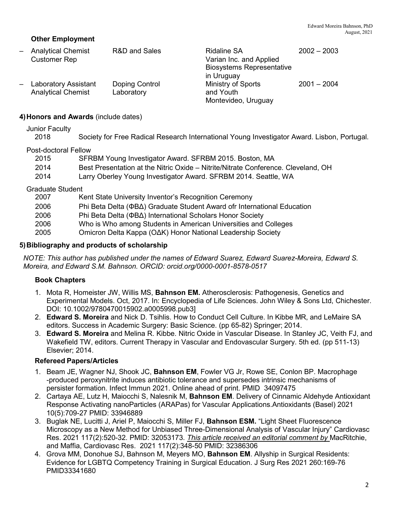## **Other Employment**

– Analytical Chemist R&D and Sales Ridaline SA 2002 – 2003 Customer Rep Varian Inc. and Applied Biosystems Representative in Uruguay – Laboratory Assistant Doping Control Ministry of Sports 2001 – 2004 Analytical Chemist Laboratory **Example 20** and Youth Montevideo, Uruguay

#### **4)Honors and Awards** (include dates)

Junior Faculty

| 2018 |  |  |  | Society for Free Radical Research International Young Investigator Award. Lisbon, Portugal. |
|------|--|--|--|---------------------------------------------------------------------------------------------|
|------|--|--|--|---------------------------------------------------------------------------------------------|

#### Post-doctoral Fellow

| 2015 | SFRBM Young Investigator Award. SFRBM 2015. Boston, MA                            |
|------|-----------------------------------------------------------------------------------|
| 2014 | Best Presentation at the Nitric Oxide – Nitrite/Nitrate Conference. Cleveland, OH |
| 2014 | Larry Oberley Young Investigator Award. SFRBM 2014. Seattle, WA                   |

#### Graduate Student

| 2007 | Kent State University Inventor's Recognition Ceremony                     |
|------|---------------------------------------------------------------------------|
| 2006 | Phi Beta Delta (ΦΒΔ) Graduate Student Award of rInternational Education   |
| 2006 | Phi Beta Delta ( $\Phi$ B $\Delta$ ) International Scholars Honor Society |
| 2006 | Who is Who among Students in American Universities and Colleges           |
| 2005 | Omicron Delta Kappa (ΟΔΚ) Honor National Leadership Society               |
|      |                                                                           |

#### **5)Bibliography and products of scholarship**

*NOTE: This author has published under the names of Edward Suarez, Edward Suarez-Moreira, Edward S. Moreira, and Edward S.M. Bahnson. ORCID: orcid.org/0000-0001-8578-0517*

#### **Book Chapters**

- 1. Mota R, Homeister JW, Willis MS, **Bahnson EM.** Atherosclerosis: Pathogenesis, Genetics and Experimental Models. Oct, 2017. In: Encyclopedia of Life Sciences. John Wiley & Sons Ltd, Chichester. DOI: 10.1002/9780470015902.a0005998.pub3]
- 2. **Edward S. Moreira** and Nick D. Tsihlis. How to Conduct Cell Culture. In Kibbe MR, and LeMaire SA editors. Success in Academic Surgery: Basic Science. (pp 65-82) Springer; 2014.
- 3. **Edward S. Moreira** and Melina R. Kibbe. Nitric Oxide in Vascular Disease. In Stanley JC, Veith FJ, and Wakefield TW, editors. Current Therapy in Vascular and Endovascular Surgery. 5th ed. (pp 511-13) Elsevier; 2014.

#### **Refereed Papers/Articles**

- 1. Beam JE, Wagner NJ, Shook JC, **Bahnson EM**, Fowler VG Jr, Rowe SE, Conlon BP. Macrophage -produced peroxynitrite induces antibiotic tolerance and supersedes intrinsic mechanisms of persister formation. Infect Immun 2021. Online ahead of print. PMID 34097475
- 2. Cartaya AE, Lutz H, Maiocchi S, Nalesnik M, **Bahnson EM**. Delivery of Cinnamic Aldehyde Antioxidant Response Activating nanoParticles (ARAPas) for Vascular Applications.Antioxidants (Basel) 2021 10(5):709-27 PMID: 33946889
- 3. Buglak NE, Lucitti J, Ariel P, Maiocchi S, Miller FJ, **Bahnson ESM.** "Light Sheet Fluorescence Microscopy as a New Method for Unbiased Three-Dimensional Analysis of Vascular Injury" Cardiovasc Res. 2021 117(2):520-32. PMID: 32053173. *This article received an editorial comment by* MacRitchie, and Maffia, Cardiovasc Res. 2021 117(2):348-50 PMID: 32386306
- 4. Grova MM, Donohue SJ, Bahnson M, Meyers MO, **Bahnson EM**. Allyship in Surgical Residents: Evidence for LGBTQ Competency Training in Surgical Education. J Surg Res 2021 260:169-76 PMID33341680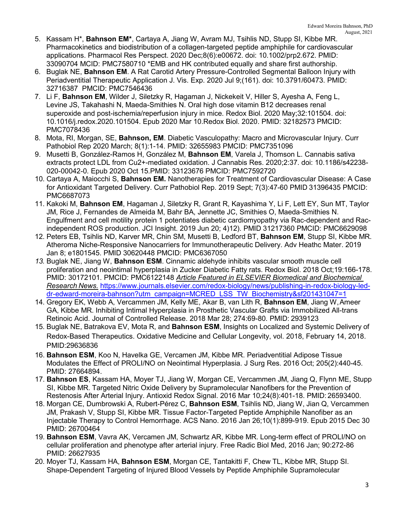- 5. Kassam H\*, **Bahnson EM\***, Cartaya A, Jiang W, Avram MJ, Tsihlis ND, Stupp SI, Kibbe MR. Pharmacokinetics and biodistribution of a collagen-targeted peptide amphiphile for cardiovascular applications. Pharmacol Res Perspect. 2020 Dec;8(6):e00672. doi: 10.1002/prp2.672. PMID: 33090704 MCID: PMC7580710 \*EMB and HK contributed equally and share first authorship.
- 6. Buglak NE, **Bahnson EM**. A Rat Carotid Artery Pressure-Controlled Segmental Balloon Injury with Periadventitial Therapeutic Application J. Vis. Exp. 2020 Jul 9;(161). doi: 10.3791/60473. PMID: 32716387 PMCID: PMC7546436
- 7. Li F, **Bahnson EM**, Wilder J, Siletzky R, Hagaman J, Nickekeit V, Hiller S, Ayesha A, Feng L, Levine JS, Takahashi N, Maeda-Smithies N. Oral high dose vitamin B12 decreases renal superoxide and post-ischemia/reperfusion injury in mice. Redox Biol. 2020 May;32:101504. doi: 10.1016/j.redox.2020.101504. Epub 2020 Mar 10.Redox Biol. 2020. PMID: 32182573 PMCID: PMC7078436
- 8. Mota, RI, Morgan, SE, **Bahnson, EM**. Diabetic Vasculopathy: Macro and Microvascular Injury. Curr Pathobiol Rep 2020 March; 8(1):1-14. PMID: 32655983 PMCID: PMC7351096
- 9. Musetti B, González-Ramos H, González M, **Bahnson EM**, Varela J, Thomson L. Cannabis sativa extracts protect LDL from Cu2+-mediated oxidation. J Cannabis Res. 2020;2:37. doi: 10.1186/s42238- 020-00042-0. Epub 2020 Oct 15.PMID: 33123676 PMCID: PMC7592720
- 10. Cartaya A, Maiocchi S, **Bahnson EM.** Nanotherapies for Treatment of Cardiovascular Disease: A Case for Antioxidant Targeted Delivery. Curr Pathobiol Rep. 2019 Sept; 7(3):47-60 PMID 31396435 PMCID: PMC6687073
- 11. Kakoki M, **Bahnson EM**, Hagaman J, Siletzky R, Grant R, Kayashima Y, Li F, Lett EY, Sun MT, Taylor JM, Rice J, Fernandes de Almeida M, Bahr BA, Jennette JC, Smithies O, Maeda-Smithies N. Engulfment and cell motility protein 1 potentiates diabetic cardiomyopathy via Rac-dependent and Racindependent ROS production. JCI Insight. 2019 Jun 20; 4)12). PMID 31217360 PMCID: PMC6629098
- 12. Peters EB, Tsihlis ND, Karver MR, Chin SM, Musetti B, Ledford BT, **Bahnson EM**, Stupp SI, Kibbe MR. Atheroma Niche-Responsive Nanocarriers for Immunotherapeutic Delivery. Adv Heathc Mater. 2019 Jan 8; e1801545. PMID 30620448 PMCID: PMC6367050
- *13.* Buglak NE, Jiang W, **Bahnson ESM**. Cinnamic aldehyde inhibits vascular smooth muscle cell proliferation and neointimal hyperplasia in Zucker Diabetic Fatty rats. Redox Biol. 2018 Oct;19:166-178. PMID: 30172101. PMCID: PMC6122148 *Article Featured in ELSEVIER Biomedical and Biochemical Research News.* [https://www.journals.elsevier.com/redox-biology/news/publishing-in-redox-biology-led](https://www.journals.elsevier.com/redox-biology/news/publishing-in-redox-biology-led-dr-edward-moreira-bahnson?utm_campaign=MCRED_LSS_TW_Biochemistry&sf201431047=1)[dr-edward-moreira-bahnson?utm\\_campaign=MCRED\\_LSS\\_TW\\_Biochemistry&sf201431047=1](https://www.journals.elsevier.com/redox-biology/news/publishing-in-redox-biology-led-dr-edward-moreira-bahnson?utm_campaign=MCRED_LSS_TW_Biochemistry&sf201431047=1)
- 14. Gregory EK, Webb A, Vercammen JM, Kelly ME, Akar B, van Lith R, **Bahnson EM**, Jiang W,Ameer GA, Kibbe MR. Inhibiting Intimal Hyperplasia in Prosthetic Vascular Grafts via Immobilized All-trans Retinoic Acid. Journal of Controlled Release. 2018 Mar 28; 274:69-80. PMID: 2939123
- 15. Buglak NE, Batrakova EV, Mota R, and **Bahnson ESM**, Insights on Localized and Systemic Delivery of Redox-Based Therapeutics. Oxidative Medicine and Cellular Longevity, vol. 2018, February 14, 2018. PMID:29636836
- 16. **Bahnson ESM**, Koo N, Havelka GE, Vercamen JM, Kibbe MR. Periadventitial Adipose Tissue Modulates the Effect of PROLI/NO on Neointimal Hyperplasia. J Surg Res. 2016 Oct; 205(2):440-45. PMID: 27664894.
- 17. **Bahnson ES**, Kassam HA, Moyer TJ, Jiang W, Morgan CE, Vercammen JM, Jiang Q, Flynn ME, Stupp SI, Kibbe MR. Targeted Nitric Oxide Delivery by Supramolecular Nanofibers for the Prevention of Restenosis After Arterial Injury. Antioxid Redox Signal. 2016 Mar 10;24(8):401-18. PMID: 26593400.
- 18. Morgan CE, Dumbrowski A, Rubert-Pérez C, **Bahnson ESM**, Tsihlis ND, Jiang W, Jian Q, Vercammen JM, Prakash V, Stupp SI, Kibbe MR. Tissue Factor-Targeted Peptide Amphiphile Nanofiber as an Injectable Therapy to Control Hemorrhage. ACS Nano. 2016 Jan 26;10(1):899-919. Epub 2015 Dec 30 PMID: 26700464
- 19. **Bahnson ESM**, Vavra AK, Vercamen JM, Schwartz AR, Kibbe MR. Long-term effect of PROLI/NO on cellular proliferation and phenotype after arterial injury. Free Radic Biol Med, 2016 Jan; 90:272-86 PMID: 26627935
- 20. Moyer TJ, Kassam HA, **Bahnson ESM**, Morgan CE, Tantakitti F, Chew TL, Kibbe MR, Stupp SI. Shape-Dependent Targeting of Injured Blood Vessels by Peptide Amphiphile Supramolecular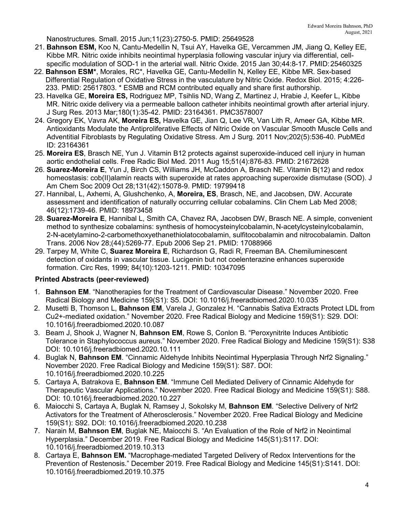Nanostructures. Small. 2015 Jun;11(23):2750-5. PMID: 25649528

- 21. **Bahnson ESM,** Koo N, Cantu-Medellin N, Tsui AY, Havelka GE, Vercammen JM, Jiang Q, Kelley EE, Kibbe MR. Nitric oxide inhibits neointimal hyperplasia following vascular injury via differential, cellspecific modulation of SOD-1 in the arterial wall. Nitric Oxide. 2015 Jan 30;44:8-17. PMID:25460325
- 22. **Bahnson ESM\***, Morales, RC\*, Havelka GE, Cantu-Medellin N, Kelley EE, Kibbe MR. Sex-based Differential Regulation of Oxidative Stress in the vasculature by Nitric Oxide. Redox Biol. 2015; 4:226- 233. PMID: 25617803. \* ESMB and RCM contributed equally and share first authorship.
- 23. Havelka GE, **Moreira ES,** Rodriguez MP, Tsihlis ND, Wang Z, Martinez J, Hrabie J, Keefer L, Kibbe MR. Nitric oxide delivery via a permeable balloon catheter inhibits neointimal growth after arterial injury. J Surg Res. 2013 Mar;180(1):35-42. PMID: 23164361. PMC3578007
- 24. Gregory EK, Vavra AK, **Moreira ES,** Havelka GE, Jian Q, Lee VR, Van Lith R, Ameer GA, Kibbe MR. Antioxidants Modulate the Antiproliferative Effects of Nitric Oxide on Vascular Smooth Muscle Cells and Adventitial Fibroblasts by Regulating Oxidative Stress. Am J Surg. 2011 Nov;202(5):536-40. PubMEd ID: 23164361
- 25. **Moreira ES**, Brasch NE, Yun J. Vitamin B12 protects against superoxide-induced cell injury in human aortic endothelial cells. Free Radic Biol Med. 2011 Aug 15;51(4):876-83. PMID: 21672628
- 26. **Suarez-Moreira E**, Yun J, Birch CS, Williams JH, McCaddon A, Brasch NE. Vitamin B(12) and redox homeostasis: cob(II)alamin reacts with superoxide at rates approaching superoxide dismutase (SOD). J Am Chem Soc 2009 Oct 28;131(42):15078-9. PMID: 19799418
- 27. Hannibal, L, Axhemi, A, Glushchenko, A, **Moreira, ES**, Brasch, NE, and Jacobsen, DW. Accurate assessment and identification of naturally occurring cellular cobalamins. Clin Chem Lab Med 2008; 46(12):1739-46. PMID: 18973458
- 28. **Suarez-Moreira E**, Hannibal L, Smith CA, Chavez RA, Jacobsen DW, Brasch NE. A simple, convenient method to synthesize cobalamins: synthesis of homocysteinylcobalamin, N-acetylcysteinylcobalamin, 2-N-acetylamino-2-carbomethoxyethanethiolatocobalamin, sulfitocobalamin and nitrocobalamin. Dalton Trans. 2006 Nov 28;(44):5269-77. Epub 2006 Sep 21. PMID: 17088966
- 29. Tarpey M, White C, **Suarez Moreira E**, Richardson G, Radi R, Freeman BA. Chemiluminescent detection of oxidants in vascular tissue. Lucigenin but not coelenterazine enhances superoxide formation. Circ Res, 1999; 84(10):1203-1211. PMID: 10347095

## **Printed Abstracts (peer-reviewed)**

- 1. **Bahnson EM**. "Nanotherapies for the Treatment of Cardiovascular Disease." November 2020. Free Radical Biology and Medicine 159(S1): S5. DOI: 10.1016/j.freeradbiomed.2020.10.035
- 2. Musetti B, Thomson L, **Bahnson EM**, Varela J, Gonzalez H. "Cannabis Sativa Extracts Protect LDL from Cu2+-mediated oxidation." November 2020. Free Radical Biology and Medicine 159(S1): S29. DOI: 10.1016/j.freeradbiomed.2020.10.087
- 3. Beam J, Shook J, Wagner N, **Bahnson EM**, Rowe S, Conlon B. "Peroxynitrite Induces Antibiotic Tolerance in Staphylococcus aureus." November 2020. Free Radical Biology and Medicine 159(S1): S38 DOI: 10.1016/j.freeradbiomed.2020.10.111
- 4. Buglak N, **Bahnson EM**. "Cinnamic Aldehyde Inhibits Neointimal Hyperplasia Through Nrf2 Signaling." November 2020. Free Radical Biology and Medicine 159(S1): S87. DOI: 10.1016/j.freeradbiomed.2020.10.225
- 5. Cartaya A, Batrakova E, **Bahnson EM**. "Immune Cell Mediated Delivery of Cinnamic Aldehyde for Therapeutic Vascular Applications." November 2020. Free Radical Biology and Medicine 159(S1): S88. DOI: 10.1016/j.freeradbiomed.2020.10.227
- 6. Maiocchi S, Cartaya A, Buglak N, Ramsey J, Sokolsky M, **Bahnson EM**. "Selective Delivery of Nrf2 Activators for the Treatment of Atherosclerosis." November 2020. Free Radical Biology and Medicine 159(S1): S92. DOI: 10.1016/j.freeradbiomed.2020.10.238
- 7. Narain M, **Bahnson EM**, Buglak NE, Maiocchi S. "An Evaluation of the Role of Nrf2 in Neointimal Hyperplasia." December 2019. Free Radical Biology and Medicine 145(S1):S117. DOI: 10.1016/j.freeradbiomed.2019.10.313
- 8. Cartaya E, **Bahnson EM.** "Macrophage-mediated Targeted Delivery of Redox Interventions for the Prevention of Restenosis." December 2019. Free Radical Biology and Medicine 145(S1):S141. DOI: 10.1016/j.freeradbiomed.2019.10.375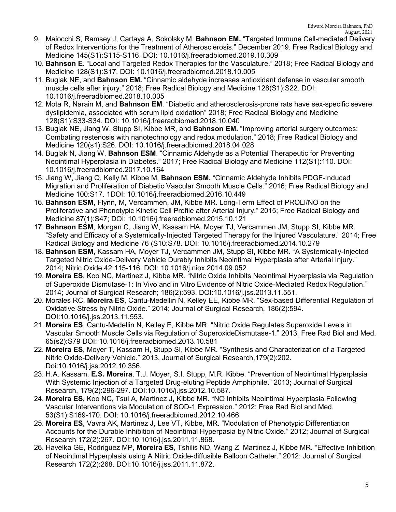- 9. Maiocchi S, Ramsey J, Cartaya A, Sokolsky M, **Bahnson EM.** "Targeted Immune Cell-mediated Delivery of Redox Interventions for the Treatment of Atherosclerosis." December 2019. Free Radical Biology and Medicine 145(S1):S115-S116. DOI: 10.1016/j.freeradbiomed.2019.10.309
- 10. **Bahnson E**. "Local and Targeted Redox Therapies for the Vasculature." 2018; Free Radical Biology and Medicine 128(S1):S17. DOI: 10.1016/j.freeradbiomed.2018.10.005
- 11. Buglak NE, and **Bahnson EM.** "Cinnamic aldehyde increases antioxidant defense in vascular smooth muscle cells after injury." 2018; Free Radical Biology and Medicine 128(S1):S22. DOI: 10.1016/j.freeradbiomed.2018.10.005
- 12. Mota R, Narain M, and **Bahnson EM**. "Diabetic and atherosclerosis-prone rats have sex-specific severe dyslipidemia, associated with serum lipid oxidation" 2018; Free Radical Biology and Medicine 128(S1):S33-S34. DOI: 10.1016/j.freeradbiomed.2018.10.040
- 13. Buglak NE, Jiang W, Stupp SI, Kibbe MR, and **Bahnson EM.** "Improving arterial surgery outcomes: Combating restenosis with nanotechnology and redox modulation." 2018; Free Radical Biology and Medicine 120(s1):S26. DOI: 10.1016/j.freeradbiomed.2018.04.028
- 14. Buglak N, Jiang W, **Bahnson ESM**. "Cinnamic Aldehyde as a Potential Therapeutic for Preventing Neointimal Hyperplasia in Diabetes." 2017; Free Radical Biology and Medicine 112(S1):110. DOI: 10.1016/j.freeradbiomed.2017.10.164
- 15. Jiang W, Jiang Q, Kelly M, Kibbe M, **Bahnson ESM.** "Cinnamic Aldehyde Inhibits PDGF-Induced Migration and Proliferation of Diabetic Vascular Smooth Muscle Cells." 2016; Free Radical Biology and Medicine 100:S17. 1DOI: 10.1016/j.freeradbiomed.2016.10.449
- 16. **Bahnson ESM**, Flynn, M, Vercammen, JM, Kibbe MR. Long-Term Effect of PROLI/NO on the Proliferative and Phenotypic Kinetic Cell Profile after Arterial Injury." 2015; Free Radical Biology and Medicine 87(1):S47; DOI: 10.1016/j.freeradbiomed.2015.10.121
- 17. **Bahnson ESM**, Morgan C, Jiang W, Kassam HA, Moyer TJ, Vercammen JM, Stupp SI, Kibbe MR. "Safety and Efficacy of a Systemically-Injected Targeted Therapy for the Injured Vasculature." 2014; Free Radical Biology and Medicine 76 (S10:S78. DOI: 10.1016/j.freeradbiomed.2014.10.279
- 18. **Bahnson ESM**, Kassam HA, Moyer TJ, Vercammen JM, Stupp SI, Kibbe MR. "A Systemically-Injected Targeted Nitric Oxide-Delivery Vehicle Durably Inhibits Neointimal Hyperplasia after Arterial Injury." 2014; Nitric Oxide 42:115-116. DOI: 10.1016/j.niox.2014.09.052
- 19. **Moreira ES**, Koo NC, Martinez J, Kibbe MR. "Nitric Oxide Inhibits Neointimal Hyperplasia via Regulation of Superoxide Dismutase-1: In Vivo and in Vitro Evidence of Nitric Oxide-Mediated Redox Regulation." 2014; Journal of Surgical Research; 186(2):593. DOI:10.1016/j.jss.2013.11.551.
- 20. Morales RC, **Moreira ES**, Cantu-Medellin N, Kelley EE, Kibbe MR. "Sex-based Differential Regulation of Oxidative Stress by Nitric Oxide." 2014; Journal of Surgical Research, 186(2):594. DOI:10.1016/j.jss.2013.11.553.
- 21. **Moreira ES**, Cantu-Medellin N, Kelley E, Kibbe MR. "Nitric Oxide Regulates Superoxide Levels in Vascular Smooth Muscle Cells via Regulation of SuperoxideDismutase-1." 2013, Free Rad Biol and Med. 65(s2):S79 DOI: 10.1016/j.freeradbiomed.2013.10.581
- 22. **Moreira ES**, Moyer T, Kassam H, Stupp SI, Kibbe MR. "Synthesis and Characterization of a Targeted Nitric Oxide-Delivery Vehicle." 2013, Journal of Surgical Research,179(2):202. Doi:10.1016/j.jss.2012.10.356.
- 23. H.A. Kassam, **E.S. Moreira**, T.J. Moyer, S.I. Stupp, M.R. Kibbe. "Prevention of Neointimal Hyperplasia With Systemic Injection of a Targeted Drug-eluting Peptide Amphiphile." 2013; Journal of Surgical Research, 179(2):296-297. DOI:10.1016/j.jss.2012.10.587.
- 24. **Moreira ES**, Koo NC, Tsui A, Martinez J, Kibbe MR. "NO Inhibits Neointimal Hyperplasia Following Vascular Interventions via Modulation of SOD-1 Expression." 2012; Free Rad Biol and Med. 53(S1):S169-170. DOI: 10.1016/j.freeradbiomed.2012.10.466
- 25. **Moreira ES**, Vavra AK, Martinez J, Lee VT, Kibbe, MR. "Modulation of Phenotypic Differentiation Accounts for the Durable Inhibition of Neointimal Hyperpasia by Nitric Oxide." 2012; Journal of Surgical Research 172(2):267. DOI:10.1016/j.jss.2011.11.868.
- 26. Havelka GE, Rodriguez MP, **Moreira ES**, Tshilis ND, Wang Z, Martinez J, Kibbe MR. "Effective Inhibition of Neointimal Hyperplasia using A Nitric Oxide-diffusible Balloon Catheter." 2012: Journal of Surgical Research 172(2):268. DOI:10.1016/j.jss.2011.11.872.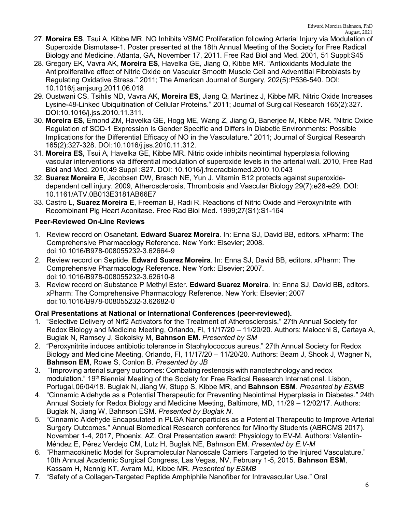- 27. **Moreira ES**, Tsui A, Kibbe MR. NO Inhibits VSMC Proliferation following Arterial Injury via Modulation of Superoxide Dismutase-1. Poster presented at the 18th Annual Meeting of the Society for Free Radical Biology and Medicine, Atlanta, GA, November 17, 2011. Free Rad Biol and Med. 2001, 51 Suppl:S45
- 28. Gregory EK, Vavra AK, **Moreira ES**, Havelka GE, Jiang Q, Kibbe MR. "Antioxidants Modulate the Antiproliferative effect of Nitric Oxide on Vascular Smooth Muscle Cell and Adventitial Fibroblasts by Regulating Oxidative Stress." 2011; The American Journal of Surgery, 202(5):P536-540. DOI: 10.1016/j.amjsurg.2011.06.018
- 29. Oustwani CS, Tsihlis ND, Vavra AK, **Moreira ES**, Jiang Q, Martinez J, Kibbe MR. Nitric Oxide Increases Lysine-48-Linked Ubiquitination of Cellular Proteins." 2011; Journal of Surgical Research 165(2):327. DOI:10.1016/j.jss.2010.11.311.
- 30. **Moreira ES**, Emond ZM, Havelka GE, Hogg ME, Wang Z, Jiang Q, Banerjee M, Kibbe MR. "Nitric Oxide Regulation of SOD-1 Expression Is Gender Specific and Differs in Diabetic Environments: Possible Implications for the Differential Efficacy of NO in the Vasculature." 2011; Journal of Surgical Research 165(2):327-328. DOI:10.1016/j.jss.2010.11.312.
- 31. **Moreira ES**, Tsui A, Havelka GE, Kibbe MR. Nitric oxide inhibits neointimal hyperplasia following vascular interventions via differential modulation of superoxide levels in the arterial wall. 2010, Free Rad Biol and Med. 2010;49 Suppl :S27. DOI: 10.1016/j.freeradbiomed.2010.10.043
- 32. **Suarez Moreira E**, Jacobsen DW, Brasch NE, Yun J. Vitamin B12 protects against superoxidedependent cell injury. 2009, Atherosclerosis, Thrombosis and Vascular Biology 29(7):e28-e29. DOI: 10.1161/ATV.0B013E3181AB66E7
- 33. Castro L, **Suarez Moreira E**, Freeman B, Radi R. Reactions of Nitric Oxide and Peroxynitrite with Recombinant Pig Heart Aconitase. Free Rad Biol Med. 1999;27(S1):S1-164

## **Peer-Reviewed On-Line Reviews**

- 1. Review record on Osanetant. **Edward Suarez Moreira**. In: Enna SJ, David BB, editors. xPharm: The Comprehensive Pharmacology Reference. New York: Elsevier; 2008. doi:10.1016/B978-008055232-3.62664-9
- 2. Review record on Septide. **Edward Suarez Moreira**. In: Enna SJ, David BB, editors. xPharm: The Comprehensive Pharmacology Reference. New York: Elsevier; 2007. doi:10.1016/B978-008055232-3.62610-8
- 3. Review record on Substance P Methyl Ester. **Edward Suarez Moreira**. In: Enna SJ, David BB, editors. xPharm: The Comprehensive Pharmacology Reference. New York: Elsevier; 2007 doi:10.1016/B978-008055232-3.62682-0

## **Oral Presentations at National or International Conferences (peer-reviewed).**

- 1. "Selective Delivery of Nrf2 Activators for the Treatment of Atherosclerosis." 27th Annual Society for Redox Biology and Medicine Meeting, Orlando, Fl, 11/17/20 – 11/20/20. Authors: Maiocchi S, Cartaya A, Buglak N, Ramsey J, Sokolsky M, **Bahnson EM**. *Presented by SM*
- 2. "Peroxynitrite induces antibiotic tolerance in Staphylococcus aureus." 27th Annual Society for Redox Biology and Medicine Meeting, Orlando, Fl, 11/17/20 – 11/20/20. Authors: Beam J, Shook J, Wagner N, **Bahnson EM**, Rowe S, Conlon B. *Presented by JB*
- 3. "Improving arterial surgery outcomes: Combating restenosis with nanotechnology and redox modulation." 19<sup>th</sup> Biennial Meeting of the Society for Free Radical Research International. Lisbon, Portugal,06/04/18. Buglak N, Jiang W, Stupp S, Kibbe MR, and **Bahnson ESM**. *Presented by ESMB*
- 4. "Cinnamic Aldehyde as a Potential Therapeutic for Preventing Neointimal Hyperplasia in Diabetes." 24th Annual Society for Redox Biology and Medicine Meeting, Baltimore, MD, 11/29 – 12/02/17. Authors: Buglak N, Jiang W, Bahnson ESM. *Presented by Buglak N*.
- 5. "Cinnamic Aldehyde Encapsulated in PLGA Nanoparticles as a Potential Therapeutic to Improve Arterial Surgery Outcomes." Annual Biomedical Research conference for Minority Students (ABRCMS 2017). November 1-4, 2017, Phoenix, AZ. Oral Presentation award: Physiology to EV-M. Authors: Valentín-Méndez E, Pérez Verdejo CM, Lutz H, Buglak NE, Bahnson EM. *Presented by E.V-M*
- 6. "Pharmacokinetic Model for Supramolecular Nanoscale Carriers Targeted to the Injured Vasculature." 10th Annual Academic Surgical Congress, Las Vegas, NV, February 1-5, 2015. **Bahnson ESM**, Kassam H, Nennig KT, Avram MJ, Kibbe MR. *Presented by ESMB*
- 7. "Safety of a Collagen-Targeted Peptide Amphiphile Nanofiber for Intravascular Use." Oral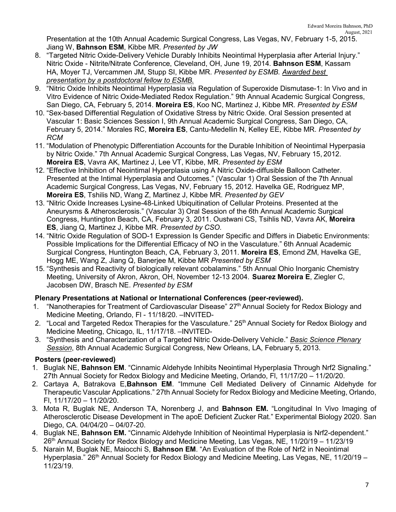Presentation at the 10th Annual Academic Surgical Congress, Las Vegas, NV, February 1-5, 2015. Jiang W, **Bahnson ESM**, Kibbe MR. *Presented by JW*

- 8. "Targeted Nitric Oxide-Delivery Vehicle Durably Inhibits Neointimal Hyperplasia after Arterial Injury." Nitric Oxide - Nitrite/Nitrate Conference, Cleveland, OH, June 19, 2014. **Bahnson ESM**, Kassam HA, Moyer TJ, Vercammen JM, Stupp SI, Kibbe MR. *Presented by ESMB. Awarded best presentation by a postdoctoral fellow to ESMB.*
- 9. "Nitric Oxide Inhibits Neointimal Hyperplasia via Regulation of Superoxide Dismutase-1: In Vivo and in Vitro Evidence of Nitric Oxide-Mediated Redox Regulation." 9th Annual Academic Surgical Congress, San Diego, CA, February 5, 2014. **Moreira ES**, Koo NC, Martinez J, Kibbe MR. *Presented by ESM*
- 10. "Sex-based Differential Regulation of Oxidative Stress by Nitric Oxide. Oral Session presented at Vascular 1: Basic Sciences Session I, 9th Annual Academic Surgical Congress, San Diego, CA, February 5, 2014." Morales RC, **Moreira ES**, Cantu-Medellin N, Kelley EE, Kibbe MR. *Presented by RCM*
- 11. "Modulation of Phenotypic Differentiation Accounts for the Durable Inhibition of Neointimal Hyperpasia by Nitric Oxide." 7th Annual Academic Surgical Congress, Las Vegas, NV, February 15, 2012. **Moreira ES**, Vavra AK, Martinez J, Lee VT, Kibbe, MR. *Presented by ESM*
- 12. "Effective Inhibition of Neointimal Hyperplasia using A Nitric Oxide-diffusible Balloon Catheter. Presented at the Intimal Hyperplasia and Outcomes." (Vascular 1) Oral Session of the 7th Annual Academic Surgical Congress, Las Vegas, NV, February 15, 2012. Havelka GE, Rodriguez MP, **Moreira ES**, Tshilis ND, Wang Z, Martinez J, Kibbe MR. *Presented by GEV*
- 13. "Nitric Oxide Increases Lysine-48-Linked Ubiquitination of Cellular Proteins. Presented at the Aneurysms & Atherosclerosis." (Vascular 3) Oral Session of the 6th Annual Academic Surgical Congress, Huntington Beach, CA, February 3, 2011. Oustwani CS, Tsihlis ND, Vavra AK, **Moreira ES**, Jiang Q, Martinez J, Kibbe MR. *Presented by CSO.*
- 14. "Nitric Oxide Regulation of SOD-1 Expression Is Gender Specific and Differs in Diabetic Environments: Possible Implications for the Differential Efficacy of NO in the Vasculature." 6th Annual Academic Surgical Congress, Huntington Beach, CA, February 3, 2011. **Moreira ES**, Emond ZM, Havelka GE, Hogg ME, Wang Z, Jiang Q, Banerjee M, Kibbe MR *Presented by ESM*
- 15. "Synthesis and Reactivity of biologically relevant cobalamins." 5th Annual Ohio Inorganic Chemistry Meeting, University of Akron, Akron, OH, November 12-13 2004. **Suarez Moreira E**, Ziegler C, Jacobsen DW, Brasch NE. *Presented by ESM*

## **Plenary Presentations at National or International Conferences (peer-reviewed).**

- 1. "Nanotherapies for Treatment of Cardiovascular Disease" 27<sup>th</sup> Annual Society for Redox Biology and Medicine Meeting, Orlando, Fl - 11/18/20. –INVITED-
- 2. "Local and Targeted Redox Therapies for the Vasculature." 25<sup>th</sup> Annual Society for Redox Biology and Medicine Meeting, Chicago, IL, 11/17/18. –INVITED-
- 3. "Synthesis and Characterization of a Targeted Nitric Oxide-Delivery Vehicle." *Basic Science Plenary Session*, 8th Annual Academic Surgical Congress, New Orleans, LA, February 5, 2013.

## **Posters (peer-reviewed)**

- 1. Buglak NE, **Bahnson EM**. "Cinnamic Aldehyde Inhibits Neointimal Hyperplasia Through Nrf2 Signaling." 27th Annual Society for Redox Biology and Medicine Meeting, Orlando, Fl, 11/17/20 – 11/20/20.
- 2. Cartaya A, Batrakova E,**Bahnson EM**. "Immune Cell Mediated Delivery of Cinnamic Aldehyde for Therapeutic Vascular Applications." 27th Annual Society for Redox Biology and Medicine Meeting, Orlando, Fl, 11/17/20 – 11/20/20.
- 3. Mota R, Buglak NE, Anderson TA, Norenberg J, and **Bahnson EM.** "Longitudinal In Vivo Imaging of Atherosclerotic Disease Development in The apoE Deficient Zucker Rat." Experimental Biology 2020. San Diego, CA. 04/04/20 – 04/07-20.
- 4. Buglak NE, **Bahnson EM.** "Cinnamic Aldehyde Inhibition of Neointimal Hyperplasia is Nrf2-dependent." 26th Annual Society for Redox Biology and Medicine Meeting, Las Vegas, NE, 11/20/19 – 11/23/19
- 5. Narain M, Buglak NE, Maiocchi S, **Bahnson EM**. "An Evaluation of the Role of Nrf2 in Neointimal Hyperplasia."  $26<sup>th</sup>$  Annual Society for Redox Biology and Medicine Meeting, Las Vegas, NE, 11/20/19 – 11/23/19.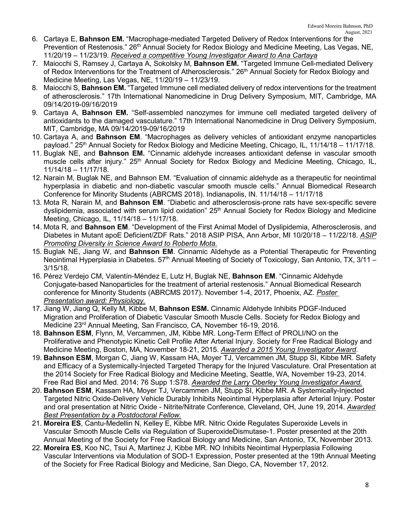- 6. Cartaya E, **Bahnson EM.** "Macrophage-mediated Targeted Delivery of Redox Interventions for the Prevention of Restenosis." 26<sup>th</sup> Annual Society for Redox Biology and Medicine Meeting, Las Vegas, NE, 11/20/19 – 11/23/19. *Received a competitive Young Investigator Award to Ana Cartaya*
- 7. Maiocchi S, Ramsey J, Cartaya A, Sokolsky M, **Bahnson EM.** "Targeted Immune Cell-mediated Delivery of Redox Interventions for the Treatment of Atherosclerosis." 26<sup>th</sup> Annual Society for Redox Biology and Medicine Meeting, Las Vegas, NE, 11/20/19 – 11/23/19.
- 8. Maiocchi S, **Bahnson EM.** "Targeted Immune cell mediated delivery of redox interventions for the treatment of atherosclerosis." 17th International Nanomedicine in Drug Delivery Symposium, MIT, Cambridge, MA 09/14/2019-09/16/2019
- 9. Cartaya A, **Bahnson EM.** "Self-assembled nanozymes for immune cell mediated targeted delivery of antioxidants to the damaged vasculature." 17th International Nanomedicine in Drug Delivery Symposium, MIT, Cambridge, MA 09/14/2019-09/16/2019
- 10. Cartaya A, and **Bahnson EM**. "Macrophages as delivery vehicles of antioxidant enzyme nanoparticles payload." 25<sup>th</sup> Annual Society for Redox Biology and Medicine Meeting, Chicago, IL, 11/14/18 – 11/17/18.
- 11. Buglak NE, and **Bahnson EM.** "Cinnamic aldehyde increases antioxidant defense in vascular smooth muscle cells after injury." 25<sup>th</sup> Annual Society for Redox Biology and Medicine Meeting, Chicago, IL, 11/14/18 – 11/17/18.
- 12. Narain M, Buglak NE, and Bahnson EM. "Evaluation of cinnamic aldehyde as a therapeutic for neointimal hyperplasia in diabetic and non-diabetic vascular smooth muscle cells." Annual Biomedical Research Conference for Minority Students (ABRCMS 2018). Indianapolis, IN. 11/14/18 – 11/17/18
- 13. Mota R, Narain M, and **Bahnson EM**. "Diabetic and atherosclerosis-prone rats have sex-specific severe dyslipidemia, associated with serum lipid oxidation" 25<sup>th</sup> Annual Society for Redox Biology and Medicine Meeting, Chicago, IL, 11/14/18 – 11/17/18.
- 14. Mota R, and **Bahnson EM**. "Development of the First Animal Model of Dyslipidemia, Atherosclerosis, and Diabetes in Mutant apoE Deficient/ZDF Rats." 2018 ASIP PISA, Ann Arbor, MI 10/20/18 – 11/22/18. *ASIP Promoting Diversity in Science Award to Roberto Mota.*
- 15. Buglak NE, Jiang W, and **Bahnson EM**. Cinnamic Aldehyde as a Potential Therapeutic for Preventing Neointimal Hyperplasia in Diabetes.  $57<sup>th</sup>$  Annual Meeting of Society of Toxicology, San Antonio, TX,  $3/11$  – 3/15/18.
- 16. Pérez Verdejo CM, Valentín-Méndez E, Lutz H, Buglak NE, **Bahnson EM**. "Cinnamic Aldehyde Conjugate-based Nanoparticles for the treatment of arterial restenosis." Annual Biomedical Research conference for Minority Students (ABRCMS 2017). November 1-4, 2017, Phoenix, AZ. *Poster Presentation award: Physiology.*
- 17. Jiang W, Jiang Q, Kelly M, Kibbe M, **Bahnson ESM.** Cinnamic Aldehyde Inhibits PDGF-Induced Migration and Proliferation of Diabetic Vascular Smooth Muscle Cells. Society for Redox Biology and Medicine 23rd Annual Meeting, San Francisco, CA, November 16-19, 2016.
- 18. **Bahnson ESM**, Flynn, M, Vercammen, JM, Kibbe MR. Long-Term Effect of PROLI/NO on the Proliferative and Phenotypic Kinetic Cell Profile After Arterial Injury. Society for Free Radical Biology and Medicine Meeting, Boston, MA, November 18-21, 2015. *Awarded a 2015 Young Investigator Award*.
- 19. **Bahnson ESM**, Morgan C, Jiang W, Kassam HA, Moyer TJ, Vercammen JM, Stupp SI, Kibbe MR. Safety and Efficacy of a Systemically-Injected Targeted Therapy for the Injured Vasculature. Oral Presentation at the 2014 Society for Free Radical Biology and Medicine Meeting, Seattle, WA, November 19-23, 2014. Free Rad Biol and Med. 2014; 76 Supp 1:S78. *Awarded the Larry Oberley Young Investigator Award.*
- 20. **Bahnson ESM**, Kassam HA, Moyer TJ, Vercammen JM, Stupp SI, Kibbe MR. A Systemically-Injected Targeted Nitric Oxide-Delivery Vehicle Durably Inhibits Neointimal Hyperplasia after Arterial Injury. Poster and oral presentation at Nitric Oxide - Nitrite/Nitrate Conference, Cleveland, OH, June 19, 2014. *Awarded Best Presentation by a Postdoctoral Fellow.*
- 21. **Moreira ES**, Cantu-Medellin N, Kelley E, Kibbe MR. Nitric Oxide Regulates Superoxide Levels in Vascular Smooth Muscle Cells via Regulation of SuperoxideDismutase-1. Poster presented at the 20th Annual Meeting of the Society for Free Radical Biology and Medicine, San Antonio, TX, November 2013.
- 22. **Moreira ES**, Koo NC, Tsui A, Martinez J, Kibbe MR. NO Inhibits Neointimal Hyperplasia Following Vascular Interventions via Modulation of SOD-1 Expression, Poster presented at the 19th Annual Meeting of the Society for Free Radical Biology and Medicine, San Diego, CA, November 17, 2012.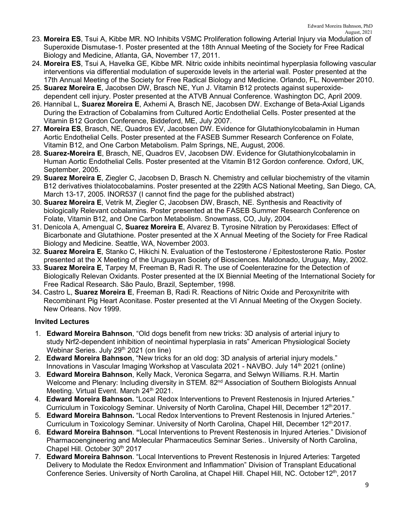- 23. **Moreira ES**, Tsui A, Kibbe MR. NO Inhibits VSMC Proliferation following Arterial Injury via Modulation of Superoxide Dismutase-1. Poster presented at the 18th Annual Meeting of the Society for Free Radical Biology and Medicine, Atlanta, GA, November 17, 2011.
- 24. **Moreira ES**, Tsui A, Havelka GE, Kibbe MR. Nitric oxide inhibits neointimal hyperplasia following vascular interventions via differential modulation of superoxide levels in the arterial wall. Poster presented at the 17th Annual Meeting of the Society for Free Radical Biology and Medicine. Orlando, FL. November 2010.
- 25. **Suarez Moreira E**, Jacobsen DW, Brasch NE, Yun J. Vitamin B12 protects against superoxidedependent cell injury. Poster presented at the ATVB Annual Conference. Washington DC, April 2009.
- 26. Hannibal L, **Suarez Moreira E**, Axhemi A, Brasch NE, Jacobsen DW. Exchange of Beta-Axial Ligands During the Extraction of Cobalamins from Cultured Aortic Endothelial Cells. Poster presented at the Vitamin B12 Gordon Conference, Biddeford, ME, July 2007.
- 27. **Moreira ES**, Brasch, NE, Quadros EV, Jacobsen DW. Evidence for Glutathionylcobalamin in Human Aortic Endothelial Cells. Poster presented at the FASEB Summer Research Conference on Folate, Vitamin B12, and One Carbon Metabolism. Palm Springs, NE, August, 2006.
- 28. **Suarez-Moreira E**, Brasch, NE, Quadros EV, Jacobsen DW. Evidence for Glutathionylcobalamin in Human Aortic Endothelial Cells. Poster presented at the Vitamin B12 Gordon conference. Oxford, UK, September, 2005.
- 29. **Suarez Moreira E**, Ziegler C, Jacobsen D, Brasch N. Chemistry and cellular biochemistry of the vitamin B12 derivatives thiolatocobalamins. Poster presented at the 229th ACS National Meeting, San Diego, CA, March 13-17, 2005. INOR537 (I cannot find the page for the published abstract)
- 30. **Suarez Moreira E**, Vetrik M, Ziegler C, Jacobsen DW, Brasch, NE. Synthesis and Reactivity of biologically Relevant cobalamins. Poster presented at the FASEB Summer Research Conference on Folate, Vitamin B12, and One Carbon Metabolism. Snowmass, CO, July, 2004.
- 31. Denicola A, Amengual C, **Suarez Moreira E**, Alvarez B. Tyrosine Nitration by Peroxidases: Effect of Bicarbonate and Glutathione. Poster presented at the X Annual Meeting of the Society for Free Radical Biology and Medicine. Seattle, WA, November 2003.
- 32. **Suarez Moreira E**, Stanko C, Hikichi N. Evaluation of the Testosterone / Epitestosterone Ratio. Poster presented at the X Meeting of the Uruguayan Society of Biosciences. Maldonado, Uruguay, May, 2002.
- 33. **Suarez Moreira E**, Tarpey M, Freeman B, Radi R. The use of Coelenterazine for the Detection of Biologically Relevan Oxidants. Poster presented at the IX Biennial Meeting of the International Society for Free Radical Research. São Paulo, Brazil, September, 1998.
- 34. Castro L, **Suarez Moreira E**, Freeman B, Radi R. Reactions of Nitric Oxide and Peroxynitrite with Recombinant Pig Heart Aconitase. Poster presented at the VI Annual Meeting of the Oxygen Society. New Orleans. Nov 1999.

## **Invited Lectures**

- 1. **Edward Moreira Bahnson**, "Old dogs benefit from new tricks: 3D analysis of arterial injury to study Nrf2-dependent inhibition of neointimal hyperplasia in rats" American Physiological Society Webinar Series. July 29<sup>th</sup> 2021 (on line)
- 2. **Edward Moreira Bahnson**, "New tricks for an old dog: 3D analysis of arterial injury models." Innovations in Vascular Imaging Workshop at Vasculata 2021 - NAVBO. July 14<sup>th</sup> 2021 (online)
- 3. **Edward Moreira Bahnson**, Kelly Mack, Veronica Segarra, and Selwyn Williams. R.H. Martin Welcome and Plenary: Including diversity in STEM. 82<sup>nd</sup> Association of Southern Biologists Annual Meeting. Virtual Event. March 24<sup>th</sup> 2021.
- 4. **Edward Moreira Bahnson.** "Local Redox Interventions to Prevent Restenosis in Injured Arteries." Curriculum in Toxicology Seminar. University of North Carolina, Chapel Hill, December 12<sup>th</sup> 2017.
- 5. **Edward Moreira Bahnson.** "Local Redox Interventions to Prevent Restenosis in Injured Arteries." Curriculum in Toxicology Seminar. University of North Carolina, Chapel Hill, December 12<sup>th</sup> 2017.
- 6. **Edward Moreira Bahnson**. **"**Local Interventions to Prevent Restenosis in Injured Arteries." Divisionof Pharmacoengineering and Molecular Pharmaceutics Seminar Series.. University of North Carolina, Chapel Hill. October 30<sup>th</sup> 2017
- 7. **Edward Moreira Bahnson**. "Local Interventions to Prevent Restenosis in Injured Arteries: Targeted Delivery to Modulate the Redox Environment and Inflammation" Division of Transplant Educational Conference Series. University of North Carolina, at Chapel Hill. Chapel Hill, NC. October 12<sup>th</sup>, 2017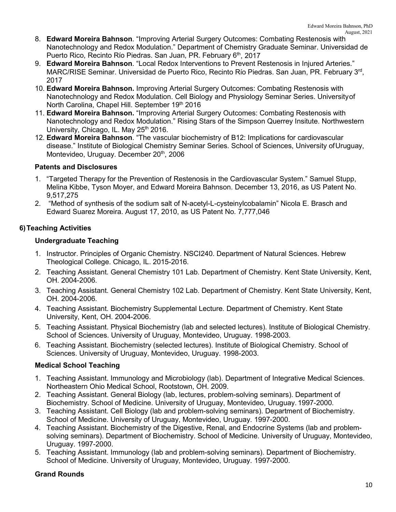- 8. **Edward Moreira Bahnson**. "Improving Arterial Surgery Outcomes: Combating Restenosis with Nanotechnology and Redox Modulation." Department of Chemistry Graduate Seminar. Universidad de Puerto Rico, Recinto Río Piedras. San Juan, PR. February 6<sup>th</sup>, 2017
- 9. **Edward Moreira Bahnson**. "Local Redox Interventions to Prevent Restenosis in Injured Arteries." MARC/RISE Seminar. Universidad de Puerto Rico, Recinto Río Piedras. San Juan, PR. February 3rd, 2017
- 10. **Edward Moreira Bahnson.** Improving Arterial Surgery Outcomes: Combating Restenosis with Nanotechnology and Redox Modulation. Cell Biology and Physiology Seminar Series. Universityof North Carolina, Chapel Hill, September 19th 2016
- 11. **Edward Moreira Bahnson.** "Improving Arterial Surgery Outcomes: Combating Restenosis with Nanotechnology and Redox Modulation." Rising Stars of the Simpson Querrey Insitute. Northwestern University, Chicago, IL. May 25<sup>th</sup> 2016.
- 12. **Edward Moreira Bahnson**. "The vascular biochemistry of B12: Implications for cardiovascular disease." Institute of Biological Chemistry Seminar Series. School of Sciences, University ofUruguay, Montevideo, Uruguay. December 20<sup>th</sup>, 2006

## **Patents and Disclosures**

- 1. "Targeted Therapy for the Prevention of Restenosis in the Cardiovascular System." Samuel Stupp, Melina Kibbe, Tyson Moyer, and Edward Moreira Bahnson. December 13, 2016, as US Patent No. 9,517,275
- 2. "Method of synthesis of the sodium salt of N-acetyl-L-cysteinylcobalamin" Nicola E. Brasch and Edward Suarez Moreira. August 17, 2010, as US Patent No. 7,777,046

## **6)Teaching Activities**

## **Undergraduate Teaching**

- 1. Instructor. Principles of Organic Chemistry. NSCI240. Department of Natural Sciences. Hebrew Theological College. Chicago, IL. 2015-2016.
- 2. Teaching Assistant. General Chemistry 101 Lab. Department of Chemistry. Kent State University, Kent, OH. 2004-2006.
- 3. Teaching Assistant. General Chemistry 102 Lab. Department of Chemistry. Kent State University, Kent, OH. 2004-2006.
- 4. Teaching Assistant. Biochemistry Supplemental Lecture. Department of Chemistry. Kent State University, Kent, OH. 2004-2006.
- 5. Teaching Assistant. Physical Biochemistry (lab and selected lectures). Institute of Biological Chemistry. School of Sciences. University of Uruguay, Montevideo, Uruguay. 1998-2003.
- 6. Teaching Assistant. Biochemistry (selected lectures). Institute of Biological Chemistry. School of Sciences. University of Uruguay, Montevideo, Uruguay. 1998-2003.

## **Medical School Teaching**

- 1. Teaching Assistant. Immunology and Microbiology (lab). Department of Integrative Medical Sciences. Northeastern Ohio Medical School, Rootstown, OH. 2009.
- 2. Teaching Assistant. General Biology (lab, lectures, problem-solving seminars). Department of Biochemistry. School of Medicine. University of Uruguay, Montevideo, Uruguay. 1997-2000.
- 3. Teaching Assistant. Cell Biology (lab and problem-solving seminars). Department of Biochemistry. School of Medicine. University of Uruguay, Montevideo, Uruguay. 1997-2000.
- 4. Teaching Assistant. Biochemistry of the Digestive, Renal, and Endocrine Systems (lab and problemsolving seminars). Department of Biochemistry. School of Medicine. University of Uruguay, Montevideo, Uruguay. 1997-2000.
- 5. Teaching Assistant. Immunology (lab and problem-solving seminars). Department of Biochemistry. School of Medicine. University of Uruguay, Montevideo, Uruguay. 1997-2000.

## **Grand Rounds**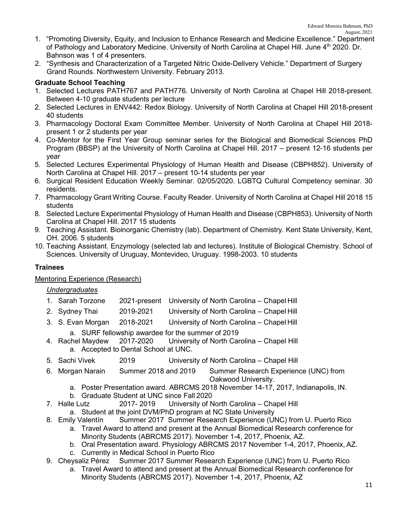- 1. "Promoting Diversity, Equity, and Inclusion to Enhance Research and Medicine Excellence." Department of Pathology and Laboratory Medicine. University of North Carolina at Chapel Hill. June 4<sup>th</sup> 2020. Dr. Bahnson was 1 of 4 presenters.
- 2. "Synthesis and Characterization of a Targeted Nitric Oxide-Delivery Vehicle." Department of Surgery Grand Rounds. Northwestern University. February 2013.

## **Graduate School Teaching**

- 1. Selected Lectures PATH767 and PATH776. University of North Carolina at Chapel Hill 2018-present. Between 4-10 graduate students per lecture
- 2. Selected Lectures in ENV442: Redox Biology. University of North Carolina at Chapel Hill 2018-present 40 students
- 3. Pharmacology Doctoral Exam Committee Member. University of North Carolina at Chapel Hill 2018 present 1 or 2 students per year
- 4. Co-Mentor for the First Year Group seminar series for the Biological and Biomedical Sciences PhD Program (BBSP) at the University of North Carolina at Chapel Hill. 2017 – present 12-16 students per year
- 5. Selected Lectures Experimental Physiology of Human Health and Disease (CBPH852). University of North Carolina at Chapel Hill. 2017 – present 10-14 students per year
- 6. Surgical Resident Education Weekly Seminar. 02/05/2020. LGBTQ Cultural Competency seminar. 30 residents.
- 7. Pharmacology Grant Writing Course. Faculty Reader. University of North Carolina at Chapel Hill 2018 15 students
- 8. Selected Lecture Experimental Physiology of Human Health and Disease (CBPH853). University of North Carolina at Chapel Hill. 2017 15 students
- 9. Teaching Assistant. Bioinorganic Chemistry (lab). Department of Chemistry. Kent State University, Kent, OH. 2006. 5 students
- 10. Teaching Assistant. Enzymology (selected lab and lectures). Institute of Biological Chemistry. School of Sciences. University of Uruguay, Montevideo, Uruguay. 1998-2003. 10 students

## **Trainees**

#### Mentoring Experience (Research)

#### *Undergraduates*

- 1. Sarah Torzone 2021-present University of North Carolina Chapel Hill
- 2. Sydney Thai 2019-2021 University of North Carolina Chapel Hill
- 3. S. Evan Morgan 2018-2021 University of North Carolina Chapel Hill
	-
- a. SURF fellowship awardee for the summer of 2019<br>4. Rachel Maydew 2017-2020 University of North Car University of North Carolina – Chapel Hill a. Accepted to Dental School at UNC.
- 5. Sachi Vivek 2019 University of North Carolina Chapel Hill
- 6. Morgan Narain Summer 2018 and 2019 Summer Research Experience (UNC) from Oakwood University.
	- a. Poster Presentation award. ABRCMS 2018 November 14-17, 2017, Indianapolis, IN.
	- b. Graduate Student at UNC since Fall 2020
- 7. Halle Lutz 2017- 2019 University of North Carolina Chapel Hill
- a. Student at the joint DVM/PhD program at NC State University<br>8. Emily Valentín Summer 2017 Summer Research Experience (UN
	- Summer 2017 Summer Research Experience (UNC) from U. Puerto Rico
		- a. Travel Award to attend and present at the Annual Biomedical Research conference for Minority Students (ABRCMS 2017). November 1-4, 2017, Phoenix, AZ.
		- b. Oral Presentation award. Physiology ABRCMS 2017 November 1-4, 2017, Phoenix, AZ.
		- c. Currently in Medical School in Puerto Rico
- 9. Cheysaliz Pérez Summer 2017 Summer Research Experience (UNC) from U. Puerto Rico
	- a. Travel Award to attend and present at the Annual Biomedical Research conference for Minority Students (ABRCMS 2017). November 1-4, 2017, Phoenix, AZ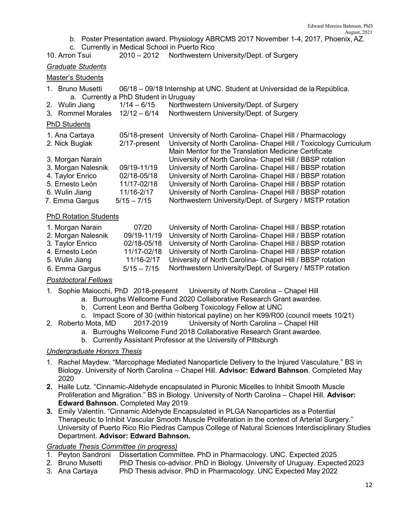- b. Poster Presentation award. Physiology ABRCMS 2017 November 1-4, 2017, Phoenix, AZ.
- c. Currently in Medical School in Puerto Rico

#### 10. Arron Tsui 2010 – 2012 Northwestern University/Dept. of Surgery

#### *Graduate Students*

#### Master's Students

- 1. Bruno Musetti 06/18 09/18 Internship at UNC. Student at Universidad de la República. a. Currently a PhD Student in Uruguay
- 2. Wulin Jiang 1/14 6/15 Northwestern University/Dept. of Surgery
- 3. Rommel Morales 12/12 6/14 Northwestern University/Dept. of Surgery

#### PhD Students

| 1. Ana Cartaya     |               | 05/18-present University of North Carolina- Chapel Hill / Pharmacology         |
|--------------------|---------------|--------------------------------------------------------------------------------|
| 2. Nick Buglak     |               | 2/17-present University of North Carolina- Chapel Hill / Toxicology Curriculum |
|                    |               | Main Mentor for the Translation Medicine Certificate                           |
| 3. Morgan Narain   |               | University of North Carolina- Chapel Hill / BBSP rotation                      |
| 3. Morgan Nalesnik | 09/19-11/19   | University of North Carolina- Chapel Hill / BBSP rotation                      |
| 4. Taylor Enrico   | 02/18-05/18   | University of North Carolina- Chapel Hill / BBSP rotation                      |
| 5. Ernesto León    | 11/17-02/18   | University of North Carolina- Chapel Hill / BBSP rotation                      |
| 6. Wulin Jiang     | 11/16-2/17    | University of North Carolina- Chapel Hill / BBSP rotation                      |
| 7. Emma Gargus     | $5/15 - 7/15$ | Northwestern University/Dept. of Surgery / MSTP rotation                       |

#### PhD Rotation Students

| 1. Morgan Narain   | 07/20      | University of North Carolina- Chapel Hill / BBSP rotation             |
|--------------------|------------|-----------------------------------------------------------------------|
| 2. Morgan Nalesnik |            | 09/19-11/19 University of North Carolina- Chapel Hill / BBSP rotation |
| 3. Taylor Enrico   |            | 02/18-05/18 University of North Carolina- Chapel Hill / BBSP rotation |
| 4. Ernesto León    |            | 11/17-02/18 University of North Carolina- Chapel Hill / BBSP rotation |
| 5. Wulin Jiang     | 11/16-2/17 | University of North Carolina- Chapel Hill / BBSP rotation             |
| 6. Emma Gargus     |            | 5/15 - 7/15 Northwestern University/Dept. of Surgery / MSTP rotation  |

#### *Postdoctoral Fellows*

1. Sophie Maiocchi, PhD 2018-presernt University of North Carolina – Chapel Hill

- a. Burroughs Wellcome Fund 2020 Collaborative Research Grant awardee.
- b. Current Leon and Bertha Golberg Toxicology Fellow at UNC
- c. Impact Score of 30 (within historical payline) on her K99/R00 (council meets 10/21)<br>2. Roberto Mota, MD 2017-2019 University of North Carolina Chapel Hill
- University of North Carolina Chapel Hill
	- a. Burroughs Wellcome Fund 2018 Collaborative Research Grant awardee.
	- b. Currently Assistant Professor at the University of Pittsburgh

#### *Undergraduate Honors Thesis*

- 1. Rachel Maydew. "Marcophage Mediated Nanoparticle Delivery to the Injured Vasculature." BS in Biology. University of North Carolina – Chapel Hill. **Advisor: Edward Bahnson**. Completed May 2020
- **2.** Halle Lutz. "Cinnamic-Aldehyde encapsulated in Pluronic Micelles to Inhibit Smooth Muscle Proliferation and Migration." BS in Biology. University of North Carolina – Chapel Hill. **Advisor: Edward Bahnson.** Completed May 2019
- **3.** Emily Valentín. "Cinnamic Aldehyde Encapsulated in PLGA Nanoparticles as a Potential Therapeutic to Inhibit Vascular Smooth Muscle Proliferation in the context of Arterial Surgery." University of Puerto Rico Río Piedras Campus College of Natural Sciences Interdisciplinary Studies Department. **Advisor: Edward Bahnson.**

# *Graduate Thesis Committee (in progress)*

- Dissertation Committee. PhD in Pharmacology. UNC. Expected 2025
- 2. Bruno Musetti PhD Thesis co-advisor. PhD in Biology. University of Uruguay. Expected 2023
- 3. Ana Cartaya PhD Thesis advisor. PhD in Pharmacology. UNC Expected May 2022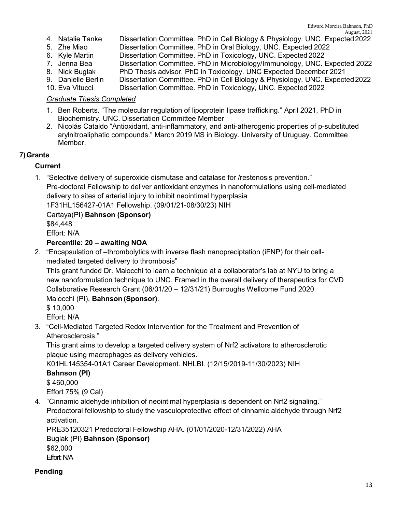- 4. Natalie Tanke Dissertation Committee. PhD in Cell Biology & Physiology. UNC. Expected2022
- 5. Zhe Miao **Dissertation Committee. PhD in Oral Biology**, UNC. Expected 2022<br>6. Kyle Martin **Dissertation Committee. PhD in Toxicology**, UNC. Expected 2022
- Dissertation Committee. PhD in Toxicology, UNC. Expected 2022
- 7. Jenna Bea Dissertation Committee. PhD in Microbiology/Immunology, UNC. Expected 2022<br>8. Nick Buglak PhD Thesis advisor. PhD in Toxicology. UNC Expected December 2021
- PhD Thesis advisor. PhD in Toxicology. UNC Expected December 2021
- 9. Danielle Berlin Dissertation Committee. PhD in Cell Biology & Physiology. UNC. Expected2022
- 10. Eva Vitucci Dissertation Committee. PhD in Toxicology, UNC. Expected 2022

## *Graduate Thesis Completed*

- 1. Ben Roberts. "The molecular regulation of lipoprotein lipase trafficking." April 2021, PhD in Biochemistry. UNC. Dissertation Committee Member
- 2. Nicolás Cataldo "Antioxidant, anti-inflammatory, and anti-atherogenic properties of p-substituted arylnitroaliphatic compounds." March 2019 MS in Biology. University of Uruguay. Committee Member.

## **7)Grants**

## **Current**

1. "Selective delivery of superoxide dismutase and catalase for /restenosis prevention." Pre-doctoral Fellowship to deliver antioxidant enzymes in nanoformulations using cell-mediated delivery to sites of arterial injury to inhibit neointimal hyperplasia 1F31HL156427-01A1 Fellowship. (09/01/21-08/30/23) NIH

Cartaya(PI) **Bahnson (Sponsor)**

\$84,448

Effort: N/A

## **Percentile: 20 – awaiting NOA**

2. "Encapsulation of –thrombolytics with inverse flash nanopreciptation (iFNP) for their cellmediated targeted delivery to thrombosis"

This grant funded Dr. Maiocchi to learn a technique at a collaborator's lab at NYU to bring a new nanoformulation technique to UNC. Framed in the overall delivery of therapeutics for CVD Collaborative Research Grant (06/01/20 – 12/31/21) Burroughs Wellcome Fund 2020 Maiocchi (PI), **Bahnson (Sponsor)**.

\$ 10,000

Effort: N/A

3. "Cell-Mediated Targeted Redox Intervention for the Treatment and Prevention of Atherosclerosis."

This grant aims to develop a targeted delivery system of Nrf2 activators to atherosclerotic plaque using macrophages as delivery vehicles.

K01HL145354-01A1 Career Development. NHLBI. (12/15/2019-11/30/2023) NIH **Bahnson (PI)**

\$ 460,000

Effort 75% (9 Cal)

4. "Cinnamic aldehyde inhibition of neointimal hyperplasia is dependent on Nrf2 signaling." Predoctoral fellowship to study the vasculoprotective effect of cinnamic aldehyde through Nrf2 activation.

PRE35120321 Predoctoral Fellowship AHA. (01/01/2020-12/31/2022) AHA Buglak (PI) **Bahnson (Sponsor)**  \$62,000 Effort: N/A

## **Pending**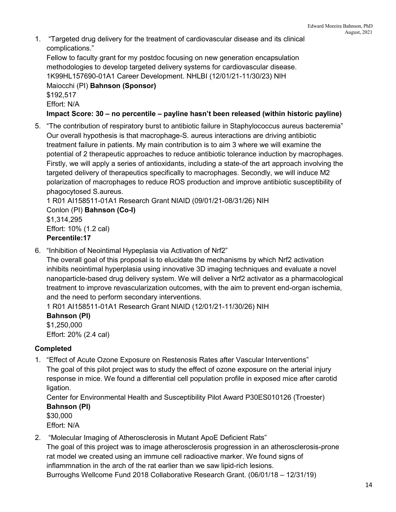1. "Targeted drug delivery for the treatment of cardiovascular disease and its clinical complications."

Fellow to faculty grant for my postdoc focusing on new generation encapsulation methodologies to develop targeted delivery systems for cardiovascular disease. 1K99HL157690-01A1 Career Development. NHLBI (12/01/21-11/30/23) NIH Maiocchi (PI) **Bahnson (Sponsor)** \$192,517 Effort: N/A

**Impact Score: 30 – no percentile – payline hasn't been released (within historic payline)**

5. "The contribution of respiratory burst to antibiotic failure in Staphylococcus aureus bacteremia" Our overall hypothesis is that macrophage-S. aureus interactions are driving antibiotic treatment failure in patients. My main contribution is to aim 3 where we will examine the potential of 2 therapeutic approaches to reduce antibiotic tolerance induction by macrophages. Firstly, we will apply a series of antioxidants, including a state-of the art approach involving the targeted delivery of therapeutics specifically to macrophages. Secondly, we will induce M2 polarization of macrophages to reduce ROS production and improve antibiotic susceptibility of phagocytosed S.aureus.

1 R01 AI158511-01A1 Research Grant NIAID (09/01/21-08/31/26) NIH Conlon (PI) **Bahnson (Co-I)** \$1,314,295 Effort: 10% (1.2 cal) **Percentile:17**

6. "Inhibition of Neointimal Hypeplasia via Activation of Nrf2"

The overall goal of this proposal is to elucidate the mechanisms by which Nrf2 activation inhibits neointimal hyperplasia using innovative 3D imaging techniques and evaluate a novel nanoparticle-based drug delivery system. We will deliver a Nrf2 activator as a pharmacological treatment to improve revascularization outcomes, with the aim to prevent end-organ ischemia, and the need to perform secondary interventions.

1 R01 AI158511-01A1 Research Grant NIAID (12/01/21-11/30/26) NIH

**Bahnson (PI)** \$1,250,000 Effort: 20% (2.4 cal)

## **Completed**

1. "Effect of Acute Ozone Exposure on Restenosis Rates after Vascular Interventions" The goal of this pilot project was to study the effect of ozone exposure on the arterial injury response in mice. We found a differential cell population profile in exposed mice after carotid ligation.

Center for Environmental Health and Susceptibility Pilot Award P30ES010126 (Troester) **Bahnson (PI)**

\$30,000

Effort: N/A

- 2. "Molecular Imaging of Atherosclerosis in Mutant ApoE Deficient Rats"
	- The goal of this project was to image atherosclerosis progression in an atherosclerosis-prone rat model we created using an immune cell radioactive marker. We found signs of inflammnation in the arch of the rat earlier than we saw lipid-rich lesions. Burroughs Wellcome Fund 2018 Collaborative Research Grant. (06/01/18 – 12/31/19)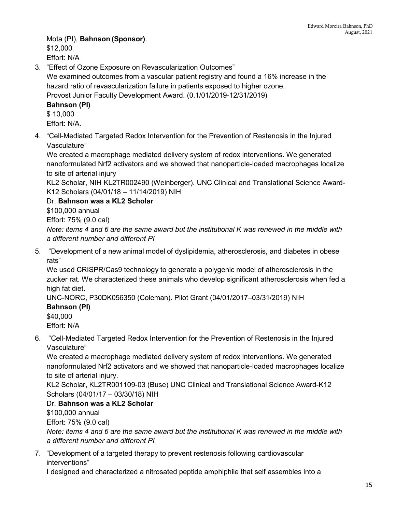Mota (PI), **Bahnson (Sponsor)**. \$12,000 Effort: N/A

3. "Effect of Ozone Exposure on Revascularization Outcomes"

We examined outcomes from a vascular patient registry and found a 16% increase in the hazard ratio of revascularization failure in patients exposed to higher ozone.

Provost Junior Faculty Development Award. (0.1/01/2019-12/31/2019)

## **Bahnson (PI)**

\$ 10,000 Effort: N/A.

4. "Cell-Mediated Targeted Redox Intervention for the Prevention of Restenosis in the Injured Vasculature"

We created a macrophage mediated delivery system of redox interventions. We generated nanoformulated Nrf2 activators and we showed that nanoparticle-loaded macrophages localize to site of arterial injury

KL2 Scholar, NIH KL2TR002490 (Weinberger). UNC Clinical and Translational Science Award-K12 Scholars (04/01/18 – 11/14/2019) NIH

Dr. **Bahnson was a KL2 Scholar**

\$100,000 annual

Effort: 75% (9.0 cal)

*Note: items 4 and 6 are the same award but the institutional K was renewed in the middle with a different number and different PI*

5. "Development of a new animal model of dyslipidemia, atherosclerosis, and diabetes in obese rats"

We used CRISPR/Cas9 technology to generate a polygenic model of atherosclerosis in the zucker rat. We characterized these animals who develop significant atherosclerosis when fed a high fat diet.

UNC-NORC, P30DK056350 (Coleman). Pilot Grant (04/01/2017–03/31/2019) NIH **Bahnson (PI)**

\$40,000

Effort: N/A

6. "Cell-Mediated Targeted Redox Intervention for the Prevention of Restenosis in the Injured Vasculature"

We created a macrophage mediated delivery system of redox interventions. We generated nanoformulated Nrf2 activators and we showed that nanoparticle-loaded macrophages localize to site of arterial injury.

KL2 Scholar, KL2TR001109-03 (Buse) UNC Clinical and Translational Science Award-K12 Scholars (04/01/17 – 03/30/18) NIH

## Dr. **Bahnson was a KL2 Scholar**

\$100,000 annual

Effort: 75% (9.0 cal)

*Note: items 4 and 6 are the same award but the institutional K was renewed in the middle with a different number and different PI*

7. "Development of a targeted therapy to prevent restenosis following cardiovascular interventions"

I designed and characterized a nitrosated peptide amphiphile that self assembles into a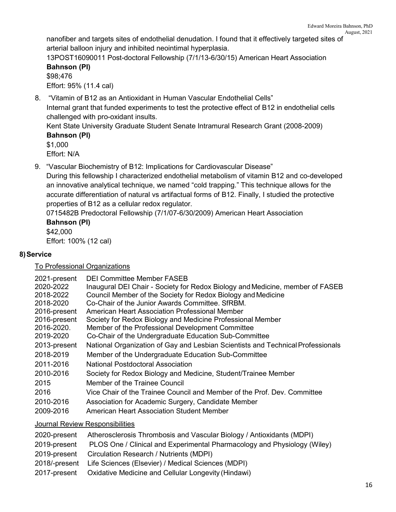nanofiber and targets sites of endothelial denudation. I found that it effectively targeted sites of arterial balloon injury and inhibited neointimal hyperplasia.

13POST16090011 Post-doctoral Fellowship (7/1/13-6/30/15) American Heart Association **Bahnson (PI)**

# \$98;476 Effort: 95% (11.4 cal)

8. "Vitamin of B12 as an Antioxidant in Human Vascular Endothelial Cells"

Internal grant that funded experiments to test the protective effect of B12 in endothelial cells challenged with pro-oxidant insults.

Kent State University Graduate Student Senate Intramural Research Grant (2008-2009) **Bahnson (PI)**

\$1,000 Effort: N/A

9. "Vascular Biochemistry of B12: Implications for Cardiovascular Disease"

During this fellowship I characterized endothelial metabolism of vitamin B12 and co-developed an innovative analytical technique, we named "cold trapping." This technique allows for the accurate differentiation of natural vs artifactual forms of B12. Finally, I studied the protective properties of B12 as a cellular redox regulator.

0715482B Predoctoral Fellowship (7/1/07-6/30/2009) American Heart Association **Bahnson (PI)**

\$42,000 Effort: 100% (12 cal)

# **8)Service**

To Professional Organizations

| 2021-present<br>2020-2022<br>2018-2022<br>2018-2020<br>2016-present<br>2016-present<br>2016-2020.<br>2019-2020 | DEI Committee Member FASEB<br>Inaugural DEI Chair - Society for Redox Biology and Medicine, member of FASEB<br>Council Member of the Society for Redox Biology and Medicine<br>Co-Chair of the Junior Awards Committee, SfRBM.<br>American Heart Association Professional Member<br>Society for Redox Biology and Medicine Professional Member<br>Member of the Professional Development Committee<br>Co-Chair of the Undergraduate Education Sub-Committee |
|----------------------------------------------------------------------------------------------------------------|-------------------------------------------------------------------------------------------------------------------------------------------------------------------------------------------------------------------------------------------------------------------------------------------------------------------------------------------------------------------------------------------------------------------------------------------------------------|
| 2013-present                                                                                                   | National Organization of Gay and Lesbian Scientists and Technical Professionals                                                                                                                                                                                                                                                                                                                                                                             |
| 2018-2019                                                                                                      | Member of the Undergraduate Education Sub-Committee                                                                                                                                                                                                                                                                                                                                                                                                         |
| 2011-2016                                                                                                      | National Postdoctoral Association                                                                                                                                                                                                                                                                                                                                                                                                                           |
| 2010-2016                                                                                                      | Society for Redox Biology and Medicine, Student/Trainee Member                                                                                                                                                                                                                                                                                                                                                                                              |
| 2015                                                                                                           | Member of the Trainee Council                                                                                                                                                                                                                                                                                                                                                                                                                               |
| 2016                                                                                                           | Vice Chair of the Trainee Council and Member of the Prof. Dev. Committee                                                                                                                                                                                                                                                                                                                                                                                    |
| 2010-2016                                                                                                      | Association for Academic Surgery, Candidate Member                                                                                                                                                                                                                                                                                                                                                                                                          |
| 2009-2016                                                                                                      | American Heart Association Student Member                                                                                                                                                                                                                                                                                                                                                                                                                   |
|                                                                                                                |                                                                                                                                                                                                                                                                                                                                                                                                                                                             |

Journal Review Responsibilities

| 2020-present | Atherosclerosis Thrombosis and Vascular Biology / Antioxidants (MDPI)    |
|--------------|--------------------------------------------------------------------------|
| 2019-present | PLOS One / Clinical and Experimental Pharmacology and Physiology (Wiley) |
|              | 2019-present Circulation Research / Nutrients (MDPI)                     |
|              | 2018/-present Life Sciences (Elsevier) / Medical Sciences (MDPI)         |
|              | 2017-present  Oxidative Medicine and Cellular Longevity (Hindawi)        |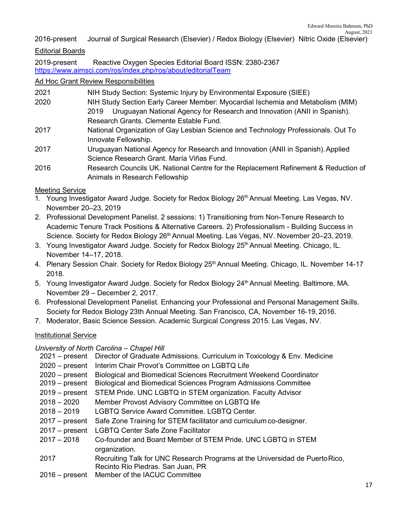## 2016-present Journal of Surgical Research (Elsevier) / Redox Biology (Elsevier) Nitric Oxide (Elsevier)

## Editorial Boards

2019-present Reactive Oxygen Species Editorial Board ISSN: 2380-2367 <https://www.aimsci.com/ros/index.php/ros/about/editorialTeam>

Animals in Research Fellowship

#### Ad Hoc Grant Review Responsibilities

| 2021 | NIH Study Section: Systemic Injury by Environmental Exposure (SIEE)                 |
|------|-------------------------------------------------------------------------------------|
| 2020 | NIH Study Section Early Career Member: Myocardial Ischemia and Metabolism (MIM)     |
|      | Uruguayan National Agency for Research and Innovation (ANII in Spanish).<br>2019    |
|      | Research Grants. Clemente Estable Fund.                                             |
| 2017 | National Organization of Gay Lesbian Science and Technology Professionals. Out To   |
|      | Innovate Fellowship.                                                                |
| 2017 | Uruguayan National Agency for Research and Innovation (ANII in Spanish). Applied    |
|      | Science Research Grant. María Viñas Fund.                                           |
| 2016 | Research Councils UK. National Centre for the Replacement Refinement & Reduction of |

#### Meeting Service

- 1. Young Investigator Award Judge. Society for Redox Biology 26<sup>th</sup> Annual Meeting. Las Vegas, NV. November 20–23, 2019
- 2. Professional Development Panelist. 2 sessions: 1) Transitioning from Non-Tenure Research to Academic Tenure Track Positions & Alternative Careers. 2) Professionalism - Building Success in Science. Society for Redox Biology 26<sup>th</sup> Annual Meeting. Las Vegas, NV. November 20–23, 2019.
- 3. Young Investigator Award Judge. Society for Redox Biology 25<sup>th</sup> Annual Meeting. Chicago, IL. November 14–17, 2018.
- 4. Plenary Session Chair. Society for Redox Biology 25<sup>th</sup> Annual Meeting. Chicago, IL. November 14-17 2018.
- 5. Young Investigator Award Judge. Society for Redox Biology 24<sup>th</sup> Annual Meeting. Baltimore, MA. November 29 – December 2, 2017.
- 6. Professional Development Panelist. Enhancing your Professional and Personal Management Skills. Society for Redox Biology 23th Annual Meeting. San Francisco, CA, November 16-19, 2016.
- 7. Moderator, Basic Science Session. Academic Surgical Congress 2015. Las Vegas, NV.

#### Institutional Service

#### *University of North Carolina – Chapel Hill*

 – present Director of Graduate Admissions. Curriculum in Toxicology & Env. Medicine – present Interim Chair Provot's Committee on LGBTQ Life – present Biological and Biomedical Sciences Recruitment Weekend Coordinator – present Biological and Biomedical Sciences Program Admissions Committee – present STEM Pride. UNC LGBTQ in STEM organization. Faculty Advisor – 2020 Member Provost Advisory Committee on LGBTQ life 2018 – 2019 LGBTQ Service Award Committee. LGBTQ Center. – present Safe Zone Training for STEM facilitator and curriculum co-designer. – present LGBTQ Center Safe Zone Facilitator 2017 – 2018 Co-founder and Board Member of STEM Pride. UNC LGBTQ in STEM organization. Recruiting Talk for UNC Research Programs at the Universidad de PuertoRico, Recinto Río Piedras. San Juan, PR 2016 – present Member of the IACUC Committee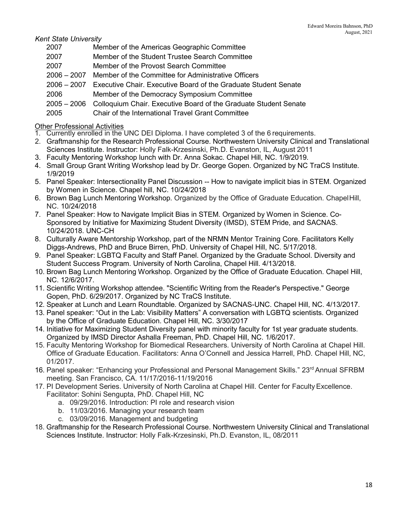*Kent State University*

- Member of the Americas Geographic Committee
- 2007 Member of the Student Trustee Search Committee
- 2007 Member of the Provost Search Committee
- 2006 2007 Member of the Committee for Administrative Officers
- 2006 2007 Executive Chair. Executive Board of the Graduate Student Senate
- 2006 Member of the Democracy Symposium Committee
- 2005 2006 Colloquium Chair. Executive Board of the Graduate Student Senate
- 2005 Chair of the International Travel Grant Committee

## Other Professional Activities

- 1. Currently enrolled in the UNC DEI Diploma. I have completed 3 of the 6 requirements.
- 2. Graftmanship for the Research Professional Course. Northwestern University Clinical and Translational Sciences Institute. Instructor: Holly Falk-Krzesinski, Ph.D. Evanston, IL, August 2011
- 3. Faculty Mentoring Workshop lunch with Dr. Anna Sokac. Chapel Hill, NC. 1/9/2019.
- 4. Small Group Grant Writing Workshop lead by Dr. George Gopen. Organized by NC TraCS Institute. 1/9/2019
- 5. Panel Speaker: Intersectionality Panel Discussion -- How to navigate implicit bias in STEM. Organized by Women in Science. Chapel hill, NC. 10/24/2018
- 6. Brown Bag Lunch Mentoring Workshop. Organized by the Office of Graduate Education. ChapelHill, NC. 10/24/2018
- 7. Panel Speaker: How to Navigate Implicit Bias in STEM. Organized by Women in Science. Co-Sponsored by Initiative for Maximizing Student Diversity (IMSD), STEM Pride, and SACNAS. 10/24/2018. UNC-CH
- 8. Culturally Aware Mentorship Workshop, part of the NRMN Mentor Training Core. Facilitators Kelly Diggs-Andrews, PhD and Bruce Birren, PhD. University of Chapel Hill, NC. 5/17/2018.
- 9. Panel Speaker: LGBTQ Faculty and Staff Panel. Organized by the Graduate School. Diversity and Student Success Program. University of North Carolina, Chapel Hill. 4/13/2018.
- 10. Brown Bag Lunch Mentoring Workshop. Organized by the Office of Graduate Education. Chapel Hill, NC. 12/6/2017.
- 11. Scientific Writing Workshop attendee. "Scientific Writing from the Reader's Perspective." George Gopen, PhD. 6/29/2017. Organized by NC TraCS Institute.
- 12. Speaker at Lunch and Learn Roundtable. Organized by SACNAS-UNC. Chapel Hill, NC. 4/13/2017.
- 13. Panel speaker: "Out in the Lab: Visibility Matters" A conversation with LGBTQ scientists. Organized by the Office of Graduate Education. Chapel Hill, NC. 3/30/2017
- 14. Initiative for Maximizing Student Diversity panel with minority faculty for 1st year graduate students. Organized by IMSD Director Ashalla Freeman, PhD. Chapel Hill, NC. 1/6/2017.
- 15. Faculty Mentoring Workshop for Biomedical Researchers. University of North Carolina at Chapel Hill. Office of Graduate Education. Facilitators: Anna O'Connell and Jessica Harrell, PhD. Chapel Hill, NC, 01/2017.
- 16. Panel speaker: "Enhancing your Professional and Personal Management Skills." 23<sup>rd</sup> Annual SFRBM meeting. San Francisco, CA. 11/17/2016-11/19/2016
- 17. PI Development Series. University of North Carolina at Chapel Hill. Center for Faculty Excellence. Facilitator: Sohini Sengupta, PhD. Chapel Hill, NC
	- a. 09/29/2016. Introduction: PI role and research vision
	- b. 11/03/2016. Managing your research team
	- c. 03/09/2016. Management and budgeting
- 18. Graftmanship for the Research Professional Course. Northwestern University Clinical and Translational Sciences Institute. Instructor: Holly Falk-Krzesinski, Ph.D. Evanston, IL, 08/2011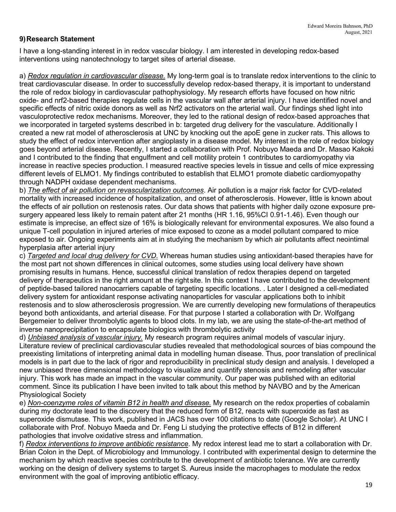## **9)Research Statement**

I have a long-standing interest in in redox vascular biology. I am interested in developing redox-based interventions using nanotechnology to target sites of arterial disease.

a) *Redox regulation in cardiovascular disease.* My long-term goal is to translate redox interventions to the clinic to treat cardiovascular disease. In order to successfully develop redox-based therapy, it is important to understand the role of redox biology in cardiovascular pathophysiology. My research efforts have focused on how nitric oxide- and nrf2-based therapies regulate cells in the vascular wall after arterial injury. I have identified novel and specific effects of nitric oxide donors as well as Nrf2 activators on the arterial wall. Our findings shed light into vasculoprotective redox mechanisms. Moreover, they led to the rational design of redox-based approaches that we incorporated in targeted systems described in b: targeted drug delivery for the vasculature. Additionally I created a new rat model of atherosclerosis at UNC by knocking out the apoE gene in zucker rats. This allows to study the effect of redox intervention after angioplasty in a disease model. My interest in the role of redox biology goes beyond arterial disease. Recently, I started a collaboration with Prof. Nobuyo Maeda and Dr. Masao Kakoki and I contributed to the finding that engulfment and cell motility protein 1 contributes to cardiomyopathy via increase in reactive species production. I measured reactive species levels in tissue and cells of mice expressing different levels of ELMO1. My findings contributed to establish that ELMO1 promote diabetic cardiomyopathy through NADPH oxidase dependent mechanisms.

b) *The effect of air pollution on revascularization outcomes*. Air pollution is a major risk factor for CVD-related mortality with increased incidence of hospitalization, and onset of atherosclerosis. However, little is known about the effects of air pollution on restenosis rates. Our data shows that patients with higher daily ozone exposure presurgery appeared less likely to remain patent after 21 months (HR 1.16, 95%CI 0.91-1.46). Even though our estimate is imprecise, an effect size of 16% is biologically relevant for environmental exposures. We also found a unique T-cell population in injured arteries of mice exposed to ozone as a model pollutant compared to mice exposed to air. Ongoing experiments aim at in studying the mechanism by which air pollutants affect neointimal hyperplasia after arterial injury

c) *Targeted and local drug delivery for CVD.* Whereas human studies using antioxidant-based therapies have for the most part not shown differences in clinical outcomes, some studies using local delivery have shown promising results in humans. Hence, successful clinical translation of redox therapies depend on targeted delivery of therapeutics in the right amount at the right site. In this context I have contributed to the development of peptide-based tailored nanocarriers capable of targeting specific locations. . Later I designed a cell-mediated delivery system for antioxidant response activating nanoparticles for vascular applications both to inhibit restenosis and to slow atherosclerosis progression. We are currently developing new formulations of therapeutics beyond both antioxidants, and arterial disease. For that purpose I started a collaboration with Dr. Wolfgang Bergemeier to deliver thrombolytic agents to blood clots. In my lab, we are using the state-of-the-art method of inverse nanoprecipitation to encapsulate biologics with thrombolytic activity

d) *Unbiased analysis of vascular injury.* My research program requires animal models of vascular injury. Literature review of preclinical cardiovascular studies revealed that methodological sources of bias compound the preexisting limitations of interpreting animal data in modelling human disease. Thus, poor translation of preclinical models is in part due to the lack of rigor and reproducibility in preclinical study design and analysis. I developed a new unbiased three dimensional methodology to visualize and quantify stenosis and remodeling after vascular injury. This work has made an impact in the vascular community. Our paper was published with an editorial comment. Since its publication I have been invited to talk about this method by NAVBO and by the American Physiological Society

e) *Non-coenzyme roles of vitamin B12 in health and disease.* My research on the redox properties of cobalamin during my doctorate lead to the discovery that the reduced form of B12, reacts with superoxide as fast as superoxide dismutase. This work, published in JACS has over 100 citations to date (Google Scholar). At UNC I collaborate with Prof. Nobuyo Maeda and Dr. Feng Li studying the protective effects of B12 in different pathologies that involve oxidative stress and inflammation.

f) *Redox interventions to improve antibiotic resistance*. My redox interest lead me to start a collaboration with Dr. Brian Colon in the Dept. of Microbiology and Immunology. I contributed with experimental design to determine the mechanism by which reactive species contribute to the development of antibiotic tolerance. We are currently working on the design of delivery systems to target S. Aureus inside the macrophages to modulate the redox environment with the goal of improving antibiotic efficacy.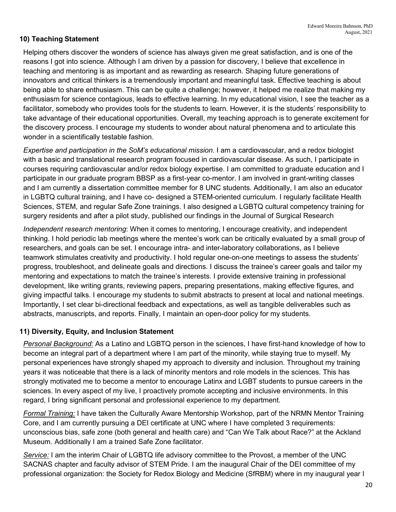## **10) Teaching Statement**

Helping others discover the wonders of science has always given me great satisfaction, and is one of the reasons I got into science. Although I am driven by a passion for discovery, I believe that excellence in teaching and mentoring is as important and as rewarding as research. Shaping future generations of innovators and critical thinkers is a tremendously important and meaningful task. Effective teaching is about being able to share enthusiasm. This can be quite a challenge; however, it helped me realize that making my enthusiasm for science contagious, leads to effective learning. In my educational vision, I see the teacher as a facilitator, somebody who provides tools for the students to learn. However, it is the students' responsibility to take advantage of their educational opportunities. Overall, my teaching approach is to generate excitement for the discovery process. I encourage my students to wonder about natural phenomena and to articulate this wonder in a scientifically testable fashion.

*Expertise and participation in the SoM's educational mission*. I am a cardiovascular, and a redox biologist with a basic and translational research program focused in cardiovascular disease. As such, I participate in courses requiring cardiovascular and/or redox biology expertise. I am committed to graduate education and I participate in our graduate program BBSP as a first-year co-mentor. I am involved in grant-writing classes and I am currently a dissertation committee member for 8 UNC students. Additionally, I am also an educator in LGBTQ cultural training, and I have co- designed a STEM-oriented curriculum. I regularly facilitate Health Sciences, STEM, and regular Safe Zone trainings. I also designed a LGBTQ cultural competency training for surgery residents and after a pilot study, published our findings in the Journal of Surgical Research

*Independent research mentoring*: When it comes to mentoring, I encourage creativity, and independent thinking. I hold periodic lab meetings where the mentee's work can be critically evaluated by a small group of researchers, and goals can be set. I encourage intra- and inter-laboratory collaborations, as I believe teamwork stimulates creativity and productivity. I hold regular one-on-one meetings to assess the students' progress, troubleshoot, and delineate goals and directions. I discuss the trainee's career goals and tailor my mentoring and expectations to match the trainee's interests. I provide extensive training in professional development, like writing grants, reviewing papers, preparing presentations, making effective figures, and giving impactful talks. I encourage my students to submit abstracts to present at local and national meetings. Importantly, I set clear bi-directional feedback and expectations, as well as tangible deliverables such as abstracts, manuscripts, and reports. Finally, I maintain an open-door policy for my students.

## **11) Diversity, Equity, and Inclusion Statement**

*Personal Background:* As a Latino and LGBTQ person in the sciences, I have first-hand knowledge of how to become an integral part of a department where I am part of the minority, while staying true to myself. My personal experiences have strongly shaped my approach to diversity and inclusion. Throughout my training years it was noticeable that there is a lack of minority mentors and role models in the sciences. This has strongly motivated me to become a mentor to encourage Latinx and LGBT students to pursue careers in the sciences. In every aspect of my live, I proactively promote accepting and inclusive environments. In this regard, I bring significant personal and professional experience to my department.

*Formal Training:* I have taken the Culturally Aware Mentorship Workshop, part of the NRMN Mentor Training Core, and I am currently pursuing a DEI certificate at UNC where I have completed 3 requirements: unconscious bias, safe zone (both general and health care) and "Can We Talk about Race?" at the Ackland Museum. Additionally I am a trained Safe Zone facilitator.

*Service:* I am the interim Chair of LGBTQ life advisory committee to the Provost, a member of the UNC SACNAS chapter and faculty advisor of STEM Pride. I am the inaugural Chair of the DEI committee of my professional organization: the Society for Redox Biology and Medicine (SfRBM) where in my inaugural year I